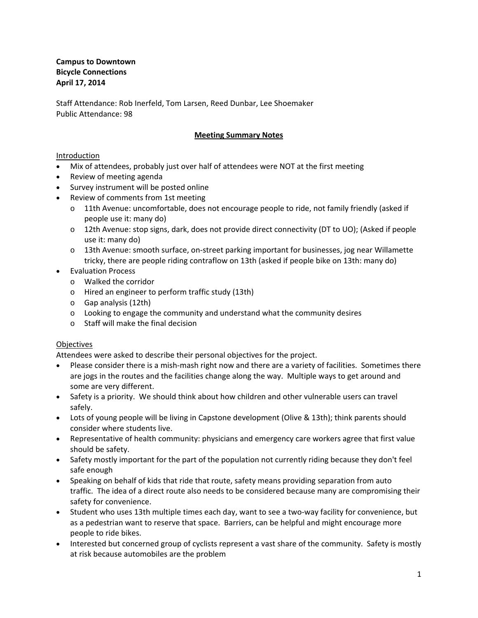Staff Attendance: Rob Inerfeld, Tom Larsen, Reed Dunbar, Lee Shoemaker Public Attendance: 98

## **Meeting Summary Notes**

### Introduction

- Mix of attendees, probably just over half of attendees were NOT at the first meeting
- Review of meeting agenda
- Survey instrument will be posted online
- Review of comments from 1st meeting
	- o 11th Avenue: uncomfortable, does not encourage people to ride, not family friendly (asked if people use it: many do)
	- o 12th Avenue: stop signs, dark, does not provide direct connectivity (DT to UO); (Asked if people use it: many do)
	- o 13th Avenue: smooth surface, on‐street parking important for businesses, jog near Willamette tricky, there are people riding contraflow on 13th (asked if people bike on 13th: many do)
- Evaluation Process
	- o Walked the corridor
	- o Hired an engineer to perform traffic study (13th)
	- o Gap analysis (12th)
	- o Looking to engage the community and understand what the community desires
	- o Staff will make the final decision

### **Objectives**

Attendees were asked to describe their personal objectives for the project.

- Please consider there is a mish-mash right now and there are a variety of facilities. Sometimes there are jogs in the routes and the facilities change along the way. Multiple ways to get around and some are very different.
- Safety is a priority. We should think about how children and other vulnerable users can travel safely.
- Lots of young people will be living in Capstone development (Olive & 13th); think parents should consider where students live.
- Representative of health community: physicians and emergency care workers agree that first value should be safety.
- Safety mostly important for the part of the population not currently riding because they don't feel safe enough
- Speaking on behalf of kids that ride that route, safety means providing separation from auto traffic. The idea of a direct route also needs to be considered because many are compromising their safety for convenience.
- Student who uses 13th multiple times each day, want to see a two-way facility for convenience, but as a pedestrian want to reserve that space. Barriers, can be helpful and might encourage more people to ride bikes.
- Interested but concerned group of cyclists represent a vast share of the community. Safety is mostly at risk because automobiles are the problem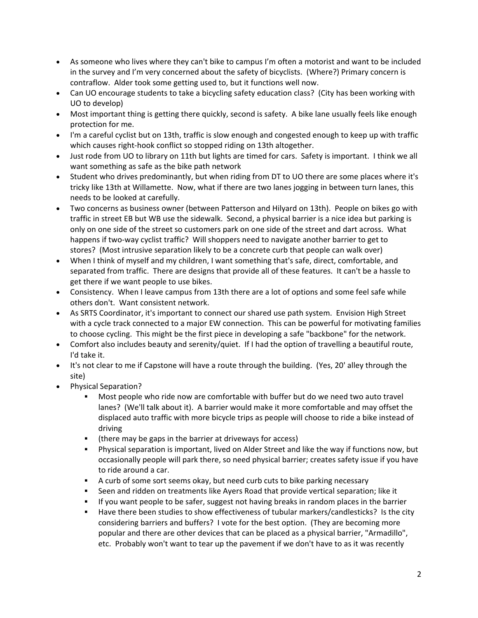- As someone who lives where they can't bike to campus I'm often a motorist and want to be included in the survey and I'm very concerned about the safety of bicyclists. (Where?) Primary concern is contraflow. Alder took some getting used to, but it functions well now.
- Can UO encourage students to take a bicycling safety education class? (City has been working with UO to develop)
- Most important thing is getting there quickly, second is safety. A bike lane usually feels like enough protection for me.
- I'm a careful cyclist but on 13th, traffic is slow enough and congested enough to keep up with traffic which causes right‐hook conflict so stopped riding on 13th altogether.
- Just rode from UO to library on 11th but lights are timed for cars. Safety is important. I think we all want something as safe as the bike path network
- Student who drives predominantly, but when riding from DT to UO there are some places where it's tricky like 13th at Willamette. Now, what if there are two lanes jogging in between turn lanes, this needs to be looked at carefully.
- Two concerns as business owner (between Patterson and Hilyard on 13th). People on bikes go with traffic in street EB but WB use the sidewalk. Second, a physical barrier is a nice idea but parking is only on one side of the street so customers park on one side of the street and dart across. What happens if two‐way cyclist traffic? Will shoppers need to navigate another barrier to get to stores? (Most intrusive separation likely to be a concrete curb that people can walk over)
- When I think of myself and my children, I want something that's safe, direct, comfortable, and separated from traffic. There are designs that provide all of these features. It can't be a hassle to get there if we want people to use bikes.
- Consistency. When I leave campus from 13th there are a lot of options and some feel safe while others don't. Want consistent network.
- As SRTS Coordinator, it's important to connect our shared use path system. Envision High Street with a cycle track connected to a major EW connection. This can be powerful for motivating families to choose cycling. This might be the first piece in developing a safe "backbone" for the network.
- Comfort also includes beauty and serenity/quiet. If I had the option of travelling a beautiful route, I'd take it.
- It's not clear to me if Capstone will have a route through the building. (Yes, 20' alley through the site)
- Physical Separation?
	- Most people who ride now are comfortable with buffer but do we need two auto travel lanes? (We'll talk about it). A barrier would make it more comfortable and may offset the displaced auto traffic with more bicycle trips as people will choose to ride a bike instead of driving
	- (there may be gaps in the barrier at driveways for access)
	- Physical separation is important, lived on Alder Street and like the way if functions now, but occasionally people will park there, so need physical barrier; creates safety issue if you have to ride around a car.
	- A curb of some sort seems okay, but need curb cuts to bike parking necessary
	- Seen and ridden on treatments like Ayers Road that provide vertical separation; like it
	- **If you want people to be safer, suggest not having breaks in random places in the barrier**
	- Have there been studies to show effectiveness of tubular markers/candlesticks? Is the city considering barriers and buffers? I vote for the best option. (They are becoming more popular and there are other devices that can be placed as a physical barrier, "Armadillo", etc. Probably won't want to tear up the pavement if we don't have to as it was recently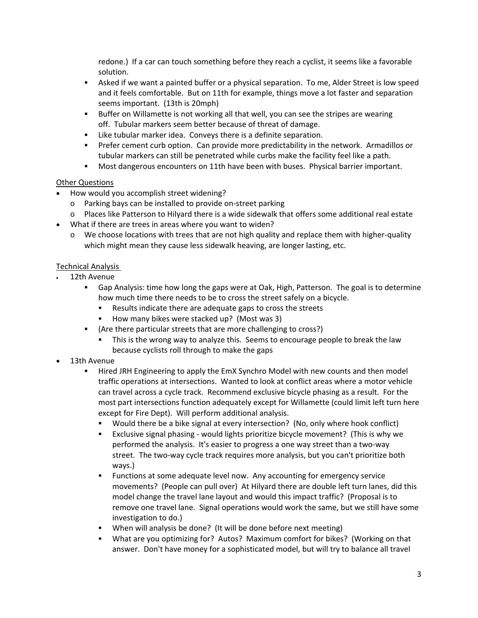redone.) If a car can touch something before they reach a cyclist, it seems like a favorable solution.

- Asked if we want a painted buffer or a physical separation. To me, Alder Street is low speed and it feels comfortable. But on 11th for example, things move a lot faster and separation seems important. (13th is 20mph)
- Buffer on Willamette is not working all that well, you can see the stripes are wearing off. Tubular markers seem better because of threat of damage.
- Like tubular marker idea. Conveys there is a definite separation.
- Prefer cement curb option. Can provide more predictability in the network. Armadillos or tubular markers can still be penetrated while curbs make the facility feel like a path.
- Most dangerous encounters on 11th have been with buses. Physical barrier important.

## Other Questions

- How would you accomplish street widening?
	- o Parking bays can be installed to provide on‐street parking
	- o Places like Patterson to Hilyard there is a wide sidewalk that offers some additional real estate
- What if there are trees in areas where you want to widen?
	- o We choose locations with trees that are not high quality and replace them with higher‐quality which might mean they cause less sidewalk heaving, are longer lasting, etc.

# Technical Analysis

- 12th Avenue
	- Gap Analysis: time how long the gaps were at Oak, High, Patterson. The goal is to determine how much time there needs to be to cross the street safely on a bicycle.
		- Results indicate there are adequate gaps to cross the streets
		- How many bikes were stacked up? (Most was 3)
	- (Are there particular streets that are more challenging to cross?)
		- This is the wrong way to analyze this. Seems to encourage people to break the law because cyclists roll through to make the gaps
- 13th Avenue
	- Hired JRH Engineering to apply the EmX Synchro Model with new counts and then model traffic operations at intersections. Wanted to look at conflict areas where a motor vehicle can travel across a cycle track. Recommend exclusive bicycle phasing as a result. For the most part intersections function adequately except for Willamette (could limit left turn here except for Fire Dept). Will perform additional analysis.
		- Would there be a bike signal at every intersection? (No, only where hook conflict)
		- Exclusive signal phasing would lights prioritize bicycle movement? (This is why we performed the analysis. It's easier to progress a one way street than a two‐way street. The two-way cycle track requires more analysis, but you can't prioritize both ways.)
		- **Functions at some adequate level now. Any accounting for emergency service** movements? (People can pull over) At Hilyard there are double left turn lanes, did this model change the travel lane layout and would this impact traffic? (Proposal is to remove one travel lane. Signal operations would work the same, but we still have some investigation to do.)
		- When will analysis be done? (It will be done before next meeting)
		- What are you optimizing for? Autos? Maximum comfort for bikes? (Working on that answer. Don't have money for a sophisticated model, but will try to balance all travel